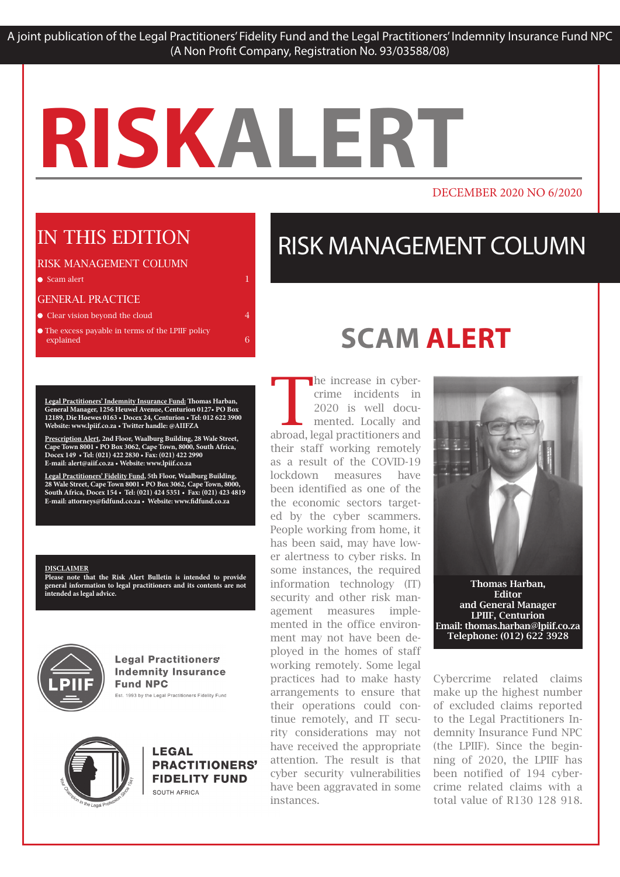#### DECEMBER 2020 NO 6/2020

### IN THIS EDITION

#### RISK MANAGEMENT COLUMN

 $\bullet$  Scam alert 1 and 1 and 1 and 1 and 1 and 1 and 1 and 1 and 1 and 1 and 1 and 1 and 1 and 1 and 1 and 1 and 1 and 1 and 1 and 1 and 1 and 1 and 1 and 1 and 1 and 1 and 1 and 1 and 1 and 1 and 1 and 1 and 1 and 1 and 1

#### GENERAL PRACTICE

**Clear vision beyond the cloud 4** 

 $\bullet$  The excess payable in terms of the LPIIF policy explained 6

**Legal Practitioners' Indemnity Insurance Fund: Thomas Harban, General Manager, 1256 Heuwel Avenue, Centurion 0127• PO Box 12189, Die Hoewes 0163 • Docex 24, Centurion • Tel: 012 622 3900 Website: www.lpiif.co.za • Twitter handle: @AIIFZA**

**Prescription Alert, 2nd Floor, Waalburg Building, 28 Wale Street, Cape Town 8001 • PO Box 3062, Cape Town, 8000, South Africa, Docex 149 • Tel: (021) 422 2830 • Fax: (021) 422 2990 E-mail: alert@aiif.co.za • Website: www.lpiif.co.za**

**Legal Practitioners' Fidelity Fund, 5th Floor, Waalburg Building, 28 Wale Street, Cape Town 8001 • PO Box 3062, Cape Town, 8000, South Africa, Docex 154 • Tel: (021) 424 5351 • Fax: (021) 423 4819 E-mail: attorneys@fidfund.co.za • Website: www.fidfund.co.za**

#### **DISCLAIMER**

**Please note that the Risk Alert Bulletin is intended to provide general information to legal practitioners and its contents are not intended as legal advice.** 



**Legal Practitioners' Indemnity Insurance Fund NPC** Est. 1993 by the Legal Practitioners Fidelity Fund



**LEGAL** PRACTITIONERS' **FIDELITY FUND** SOUTH AFRICA

# RISK MANAGEMENT COLUMN

# **SCAM ALERT**

The increase in cybercrime incidents in 2020 is well documented. Locally and abroad, legal practitioners and their staff working remotely as a result of the COVID-19 lockdown measures have been identified as one of the the economic sectors targeted by the cyber scammers. People working from home, it has been said, may have lower alertness to cyber risks. In some instances, the required information technology (IT) security and other risk management measures implemented in the office environment may not have been deployed in the homes of staff working remotely. Some legal practices had to make hasty arrangements to ensure that their operations could continue remotely, and IT security considerations may not have received the appropriate attention. The result is that cyber security vulnerabilities have been aggravated in some instances.



LPIIF, Centurion Email: thomas.harban@lpiif.co.za Telephone: (012) 622 3928

Cybercrime related claims make up the highest number of excluded claims reported to the Legal Practitioners Indemnity Insurance Fund NPC (the LPIIF). Since the beginning of 2020, the LPIIF has been notified of 194 cybercrime related claims with a total value of R130 128 918.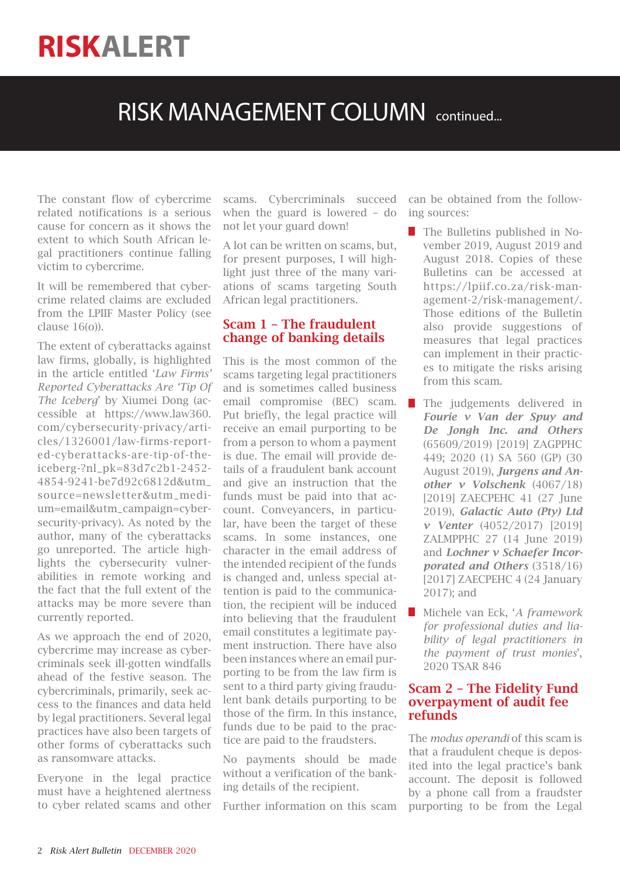### RISK MANAGEMENT COLUMN continued...

The constant flow of cybercrime related notifications is a serious cause for concern as it shows the extent to which South African legal practitioners continue falling victim to cybercrime.

It will be remembered that cybercrime related claims are excluded from the LPIIF Master Policy (see clause 16(o)).

The extent of cyberattacks against law firms, globally, is highlighted in the article entitled '*Law Firms' Reported Cyberattacks Are 'Tip Of The Iceberg*' by Xiumei Dong (accessible at https://www.law360. com/cybersecurity-privacy/articles/1326001/law-firms-reported-cyberattacks-are-tip-of-theiceberg-?nl\_pk=83d7c2b1-2452- 4854-9241-be7d92c6812d&utm\_ source=newsletter&utm\_medium=email&utm\_campaign=cybersecurity-privacy). As noted by the author, many of the cyberattacks go unreported. The article highlights the cybersecurity vulnerabilities in remote working and the fact that the full extent of the attacks may be more severe than currently reported.

As we approach the end of 2020, cybercrime may increase as cybercriminals seek ill-gotten windfalls ahead of the festive season. The cybercriminals, primarily, seek access to the finances and data held by legal practitioners. Several legal practices have also been targets of other forms of cyberattacks such as ransomware attacks.

Everyone in the legal practice must have a heightened alertness to cyber related scams and other scams. Cybercriminals succeed when the guard is lowered – do not let your guard down!

A lot can be written on scams, but, for present purposes, I will highlight just three of the many variations of scams targeting South African legal practitioners.

### Scam 1 – The fraudulent change of banking details

This is the most common of the scams targeting legal practitioners and is sometimes called business email compromise (BEC) scam. Put briefly, the legal practice will receive an email purporting to be from a person to whom a payment is due. The email will provide details of a fraudulent bank account and give an instruction that the funds must be paid into that account. Conveyancers, in particular, have been the target of these scams. In some instances, one character in the email address of the intended recipient of the funds is changed and, unless special attention is paid to the communication, the recipient will be induced into believing that the fraudulent email constitutes a legitimate payment instruction. There have also been instances where an email purporting to be from the law firm is sent to a third party giving fraudulent bank details purporting to be those of the firm. In this instance, funds due to be paid to the practice are paid to the fraudsters.

No payments should be made without a verification of the banking details of the recipient.

Further information on this scam

can be obtained from the following sources:

- The Bulletins published in November 2019, August 2019 and August 2018. Copies of these Bulletins can be accessed at https://lpiif.co.za/risk-management-2/risk-management/. Those editions of the Bulletin also provide suggestions of measures that legal practices can implement in their practices to mitigate the risks arising from this scam.
- **The judgements delivered in** *Fourie v Van der Spuy and De Jongh Inc. and Others* (65609/2019) [2019] ZAGPPHC 449; 2020 (1) SA 560 (GP) (30 August 2019), *Jurgens and Another v Volschenk* (4067/18) [2019] ZAECPEHC 41 (27 June 2019), *Galactic Auto (Pty) Ltd v Venter* (4052/2017) [2019] ZALMPPHC 27 (14 June 2019) and *Lochner v Schaefer Incorporated and Others* (3518/16) [2017] ZAECPEHC 4 (24 January 2017); and
- Michele van Eck, '*A framework for professional duties and liability of legal practitioners in the payment of trust monies*', 2020 TSAR 846

#### Scam 2 – The Fidelity Fund overpayment of audit fee refunds

The *modus operandi* of this scam is that a fraudulent cheque is deposited into the legal practice's bank account. The deposit is followed by a phone call from a fraudster purporting to be from the Legal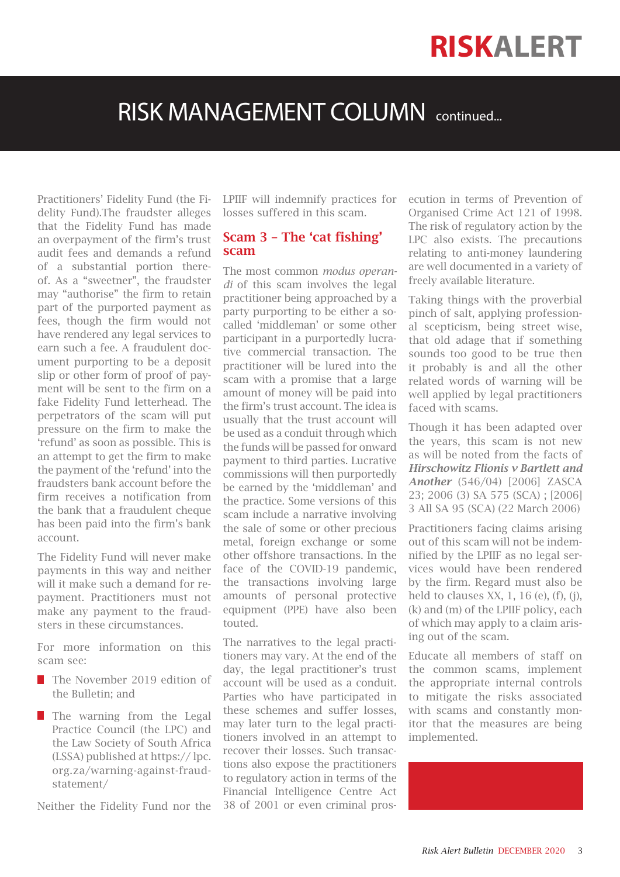### RISK MANAGEMENT COLUMN continued...

Practitioners' Fidelity Fund (the Fidelity Fund).The fraudster alleges that the Fidelity Fund has made an overpayment of the firm's trust audit fees and demands a refund of a substantial portion thereof. As a "sweetner", the fraudster may "authorise" the firm to retain part of the purported payment as fees, though the firm would not have rendered any legal services to earn such a fee. A fraudulent document purporting to be a deposit slip or other form of proof of payment will be sent to the firm on a fake Fidelity Fund letterhead. The perpetrators of the scam will put pressure on the firm to make the 'refund' as soon as possible. This is an attempt to get the firm to make the payment of the 'refund' into the fraudsters bank account before the firm receives a notification from the bank that a fraudulent cheque has been paid into the firm's bank account.

The Fidelity Fund will never make payments in this way and neither will it make such a demand for repayment. Practitioners must not make any payment to the fraudsters in these circumstances.

For more information on this scam see:

- The November 2019 edition of the Bulletin; and
- The warning from the Legal Practice Council (the LPC) and the Law Society of South Africa (LSSA) published at https:// lpc. org.za/warning-against-fraudstatement/

Neither the Fidelity Fund nor the

LPIIF will indemnify practices for losses suffered in this scam.

#### Scam 3 – The 'cat fishing' scam

The most common *modus operandi* of this scam involves the legal practitioner being approached by a party purporting to be either a socalled 'middleman' or some other participant in a purportedly lucrative commercial transaction. The practitioner will be lured into the scam with a promise that a large amount of money will be paid into the firm's trust account. The idea is usually that the trust account will be used as a conduit through which the funds will be passed for onward payment to third parties. Lucrative commissions will then purportedly be earned by the 'middleman' and the practice. Some versions of this scam include a narrative involving the sale of some or other precious metal, foreign exchange or some other offshore transactions. In the face of the COVID-19 pandemic, the transactions involving large amounts of personal protective equipment (PPE) have also been touted.

The narratives to the legal practitioners may vary. At the end of the day, the legal practitioner's trust account will be used as a conduit. Parties who have participated in these schemes and suffer losses, may later turn to the legal practitioners involved in an attempt to recover their losses. Such transactions also expose the practitioners to regulatory action in terms of the Financial Intelligence Centre Act 38 of 2001 or even criminal prosecution in terms of Prevention of Organised Crime Act 121 of 1998. The risk of regulatory action by the LPC also exists. The precautions relating to anti-money laundering are well documented in a variety of freely available literature.

Taking things with the proverbial pinch of salt, applying professional scepticism, being street wise, that old adage that if something sounds too good to be true then it probably is and all the other related words of warning will be well applied by legal practitioners faced with scams.

Though it has been adapted over the years, this scam is not new as will be noted from the facts of *Hirschowitz Flionis v Bartlett and Another* (546/04) [2006] ZASCA 23; 2006 (3) SA 575 (SCA) ; [2006] 3 All SA 95 (SCA) (22 March 2006)

Practitioners facing claims arising out of this scam will not be indemnified by the LPIIF as no legal services would have been rendered by the firm. Regard must also be held to clauses  $XX$ , 1, 16 (e), (f), (j), (k) and (m) of the LPIIF policy, each of which may apply to a claim arising out of the scam.

Educate all members of staff on the common scams, implement the appropriate internal controls to mitigate the risks associated with scams and constantly monitor that the measures are being implemented.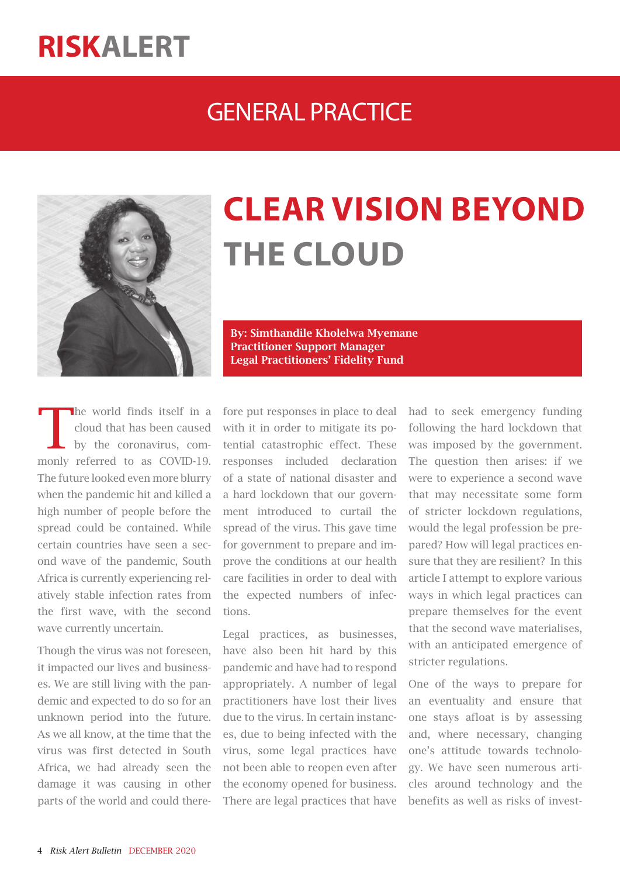### GENERAL PRACTICE



# **CLEAR VISION BEYOND THE CLOUD**

By: Simthandile Kholelwa Myemane Practitioner Support Manager Legal Practitioners' Fidelity Fund

The world finds itself in a cloud that has been caused by the coronavirus, comcloud that has been caused by the coronavirus, commonly referred to as COVID-19. The future looked even more blurry when the pandemic hit and killed a high number of people before the spread could be contained. While certain countries have seen a second wave of the pandemic, South Africa is currently experiencing relatively stable infection rates from the first wave, with the second wave currently uncertain.

Though the virus was not foreseen, it impacted our lives and businesses. We are still living with the pandemic and expected to do so for an unknown period into the future. As we all know, at the time that the virus was first detected in South Africa, we had already seen the damage it was causing in other parts of the world and could therefore put responses in place to deal with it in order to mitigate its potential catastrophic effect. These responses included declaration of a state of national disaster and a hard lockdown that our government introduced to curtail the spread of the virus. This gave time for government to prepare and improve the conditions at our health care facilities in order to deal with the expected numbers of infections.

Legal practices, as businesses, have also been hit hard by this pandemic and have had to respond appropriately. A number of legal practitioners have lost their lives due to the virus. In certain instances, due to being infected with the virus, some legal practices have not been able to reopen even after the economy opened for business. There are legal practices that have had to seek emergency funding following the hard lockdown that was imposed by the government. The question then arises: if we were to experience a second wave that may necessitate some form of stricter lockdown regulations, would the legal profession be prepared? How will legal practices ensure that they are resilient? In this article I attempt to explore various ways in which legal practices can prepare themselves for the event that the second wave materialises, with an anticipated emergence of stricter regulations.

One of the ways to prepare for an eventuality and ensure that one stays afloat is by assessing and, where necessary, changing one's attitude towards technology. We have seen numerous articles around technology and the benefits as well as risks of invest-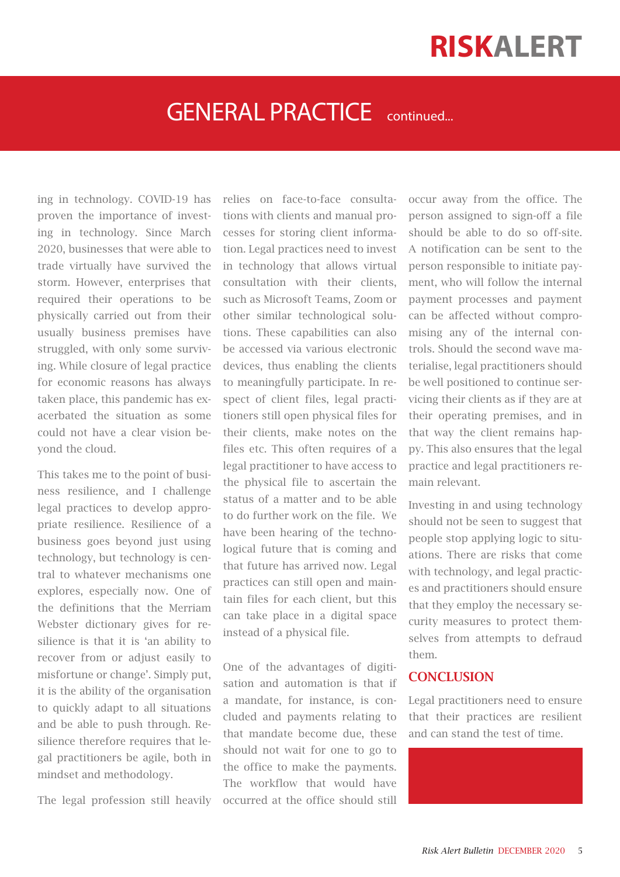### GENERAL PRACTICE continued...

ing in technology. COVID-19 has proven the importance of investing in technology. Since March 2020, businesses that were able to trade virtually have survived the storm. However, enterprises that required their operations to be physically carried out from their usually business premises have struggled, with only some surviving. While closure of legal practice for economic reasons has always taken place, this pandemic has exacerbated the situation as some could not have a clear vision beyond the cloud.

This takes me to the point of business resilience, and I challenge legal practices to develop appropriate resilience. Resilience of a business goes beyond just using technology, but technology is central to whatever mechanisms one explores, especially now. One of the definitions that the Merriam Webster dictionary gives for resilience is that it is 'an ability to recover from or adjust easily to misfortune or change'. Simply put, it is the ability of the organisation to quickly adapt to all situations and be able to push through. Resilience therefore requires that legal practitioners be agile, both in mindset and methodology.

The legal profession still heavily

relies on face-to-face consultations with clients and manual processes for storing client information. Legal practices need to invest in technology that allows virtual consultation with their clients, such as Microsoft Teams, Zoom or other similar technological solutions. These capabilities can also be accessed via various electronic devices, thus enabling the clients to meaningfully participate. In respect of client files, legal practitioners still open physical files for their clients, make notes on the files etc. This often requires of a legal practitioner to have access to the physical file to ascertain the status of a matter and to be able to do further work on the file. We have been hearing of the technological future that is coming and that future has arrived now. Legal practices can still open and maintain files for each client, but this can take place in a digital space instead of a physical file.

One of the advantages of digitisation and automation is that if a mandate, for instance, is concluded and payments relating to that mandate become due, these should not wait for one to go to the office to make the payments. The workflow that would have occurred at the office should still

occur away from the office. The person assigned to sign-off a file should be able to do so off-site. A notification can be sent to the person responsible to initiate payment, who will follow the internal payment processes and payment can be affected without compromising any of the internal controls. Should the second wave materialise, legal practitioners should be well positioned to continue servicing their clients as if they are at their operating premises, and in that way the client remains happy. This also ensures that the legal practice and legal practitioners remain relevant.

Investing in and using technology should not be seen to suggest that people stop applying logic to situations. There are risks that come with technology, and legal practices and practitioners should ensure that they employ the necessary security measures to protect themselves from attempts to defraud them.

#### **CONCLUSION**

Legal practitioners need to ensure that their practices are resilient and can stand the test of time.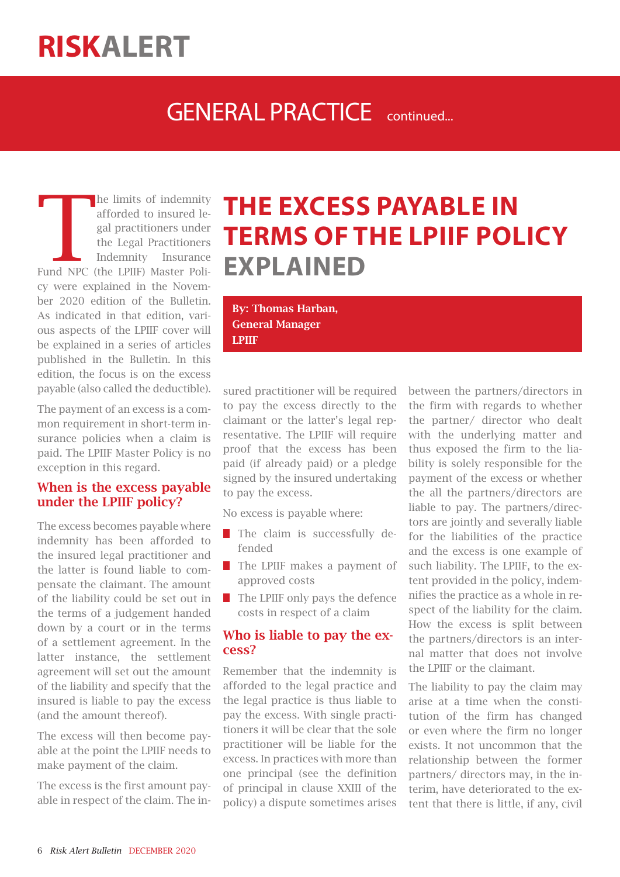### GENERAL PRACTICE continued.

The limits of indemnity<br>
afforded to insured legal practitioners under<br>
the Legal Practitioners<br>
Indemnity Insurance<br>
Fund NPC (the LPIIF) Master Poliafforded to insured legal practitioners under the Legal Practitioners Indemnity Insurance cy were explained in the November 2020 edition of the Bulletin. As indicated in that edition, various aspects of the LPIIF cover will be explained in a series of articles published in the Bulletin. In this edition, the focus is on the excess payable (also called the deductible).

The payment of an excess is a common requirement in short-term insurance policies when a claim is paid. The LPIIF Master Policy is no exception in this regard.

#### When is the excess payable under the LPIIF policy?

The excess becomes payable where indemnity has been afforded to the insured legal practitioner and the latter is found liable to compensate the claimant. The amount of the liability could be set out in the terms of a judgement handed down by a court or in the terms of a settlement agreement. In the latter instance, the settlement agreement will set out the amount of the liability and specify that the insured is liable to pay the excess (and the amount thereof).

The excess will then become payable at the point the LPIIF needs to make payment of the claim.

The excess is the first amount payable in respect of the claim. The in-

# **THE EXCESS PAYABLE IN TERMS OF THE LPIIF POLICY EXPLAINED**

By: Thomas Harban, General Manager LPIIF

sured practitioner will be required to pay the excess directly to the claimant or the latter's legal representative. The LPIIF will require proof that the excess has been paid (if already paid) or a pledge signed by the insured undertaking to pay the excess.

No excess is payable where:

- **The claim is successfully de**fended
- **The LPIIF makes a payment of** approved costs
- $\blacksquare$  The LPIIF only pays the defence costs in respect of a claim

### Who is liable to pay the excess?

Remember that the indemnity is afforded to the legal practice and the legal practice is thus liable to pay the excess. With single practitioners it will be clear that the sole practitioner will be liable for the excess. In practices with more than one principal (see the definition of principal in clause XXIII of the policy) a dispute sometimes arises between the partners/directors in the firm with regards to whether the partner/ director who dealt with the underlying matter and thus exposed the firm to the liability is solely responsible for the payment of the excess or whether the all the partners/directors are liable to pay. The partners/directors are jointly and severally liable for the liabilities of the practice and the excess is one example of such liability. The LPIIF, to the extent provided in the policy, indemnifies the practice as a whole in respect of the liability for the claim. How the excess is split between the partners/directors is an internal matter that does not involve the LPIIF or the claimant.

The liability to pay the claim may arise at a time when the constitution of the firm has changed or even where the firm no longer exists. It not uncommon that the relationship between the former partners/ directors may, in the interim, have deteriorated to the extent that there is little, if any, civil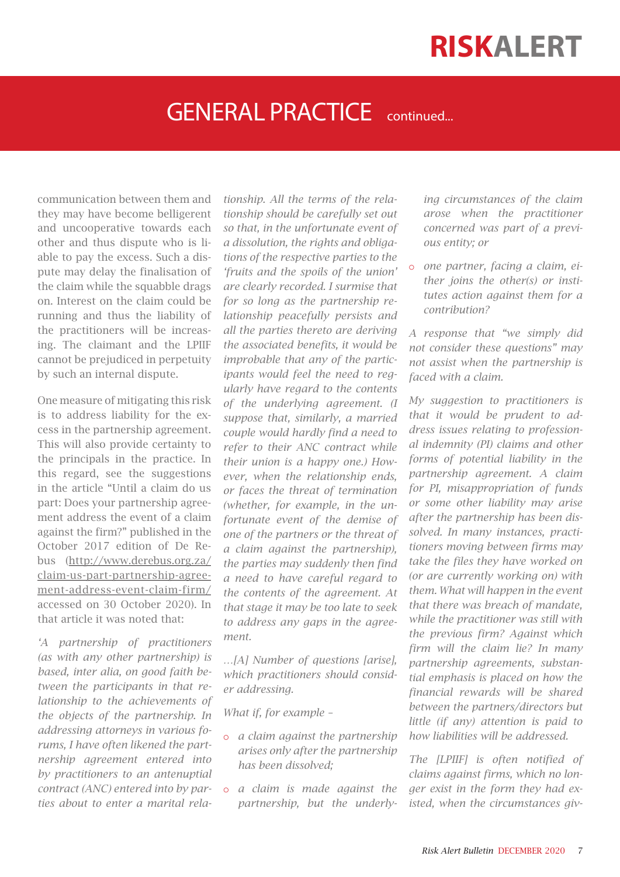### GENERAL PRACTICE continued.

communication between them and they may have become belligerent and uncooperative towards each other and thus dispute who is liable to pay the excess. Such a dispute may delay the finalisation of the claim while the squabble drags on. Interest on the claim could be running and thus the liability of the practitioners will be increasing. The claimant and the LPIIF cannot be prejudiced in perpetuity by such an internal dispute.

One measure of mitigating this risk is to address liability for the excess in the partnership agreement. This will also provide certainty to the principals in the practice. In this regard, see the suggestions in the article "Until a claim do us part: Does your partnership agreement address the event of a claim against the firm?" published in the October 2017 edition of De Rebus (http://www.derebus.org.za/ claim-us-part-partnership-agreement-address-event-claim-firm/ accessed on 30 October 2020). In that article it was noted that:

*'A partnership of practitioners (as with any other partnership) is based, inter alia, on good faith between the participants in that relationship to the achievements of the objects of the partnership. In addressing attorneys in various forums, I have often likened the partnership agreement entered into by practitioners to an antenuptial contract (ANC) entered into by parties about to enter a marital rela-* *tionship. All the terms of the relationship should be carefully set out so that, in the unfortunate event of a dissolution, the rights and obligations of the respective parties to the 'fruits and the spoils of the union' are clearly recorded. I surmise that for so long as the partnership relationship peacefully persists and all the parties thereto are deriving the associated benefits, it would be improbable that any of the participants would feel the need to regularly have regard to the contents of the underlying agreement. (I suppose that, similarly, a married couple would hardly find a need to refer to their ANC contract while their union is a happy one.) However, when the relationship ends, or faces the threat of termination (whether, for example, in the unfortunate event of the demise of one of the partners or the threat of a claim against the partnership), the parties may suddenly then find a need to have careful regard to the contents of the agreement. At that stage it may be too late to seek to address any gaps in the agreement.*

*…[A] Number of questions [arise], which practitioners should consider addressing.*

*What if, for example –*

- o *a claim against the partnership arises only after the partnership has been dissolved;*
- o *a claim is made against the partnership, but the underly-*

*ing circumstances of the claim arose when the practitioner concerned was part of a previous entity; or*

o *one partner, facing a claim, either joins the other(s) or institutes action against them for a contribution?*

*A response that "we simply did not consider these questions" may not assist when the partnership is faced with a claim.*

*My suggestion to practitioners is that it would be prudent to address issues relating to professional indemnity (PI) claims and other forms of potential liability in the partnership agreement. A claim for PI, misappropriation of funds or some other liability may arise after the partnership has been dissolved. In many instances, practitioners moving between firms may take the files they have worked on (or are currently working on) with them. What will happen in the event that there was breach of mandate, while the practitioner was still with the previous firm? Against which firm will the claim lie? In many partnership agreements, substantial emphasis is placed on how the financial rewards will be shared between the partners/directors but little (if any) attention is paid to how liabilities will be addressed.*

*The [LPIIF] is often notified of claims against firms, which no longer exist in the form they had existed, when the circumstances giv-*